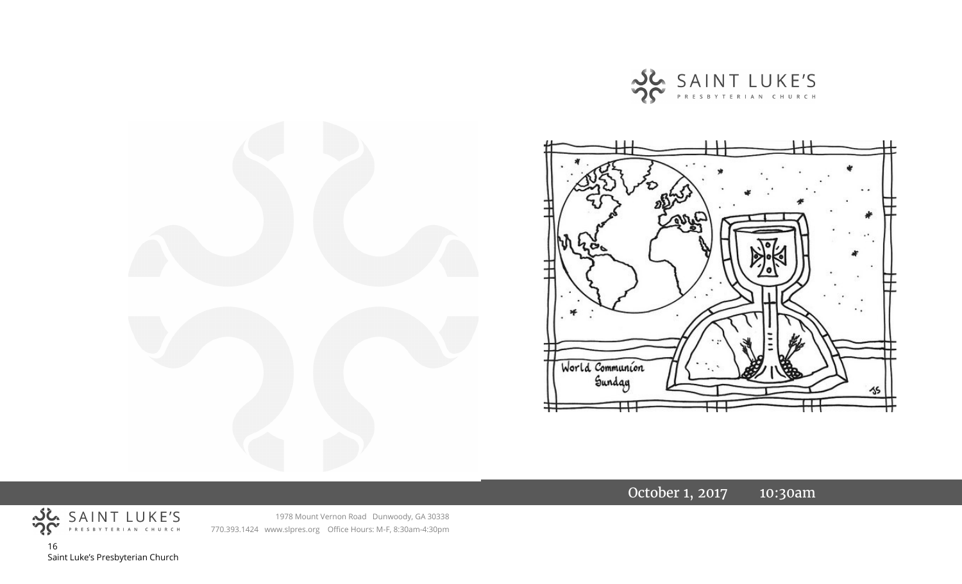



October 1, 2017 10:30am



1978 Mount Vernon Road Dunwoody, GA 30338 770.393.1424 www.slpres.org Office Hours: M-F, 8:30am-4:30pm

16 Saint Luke's Presbyterian Church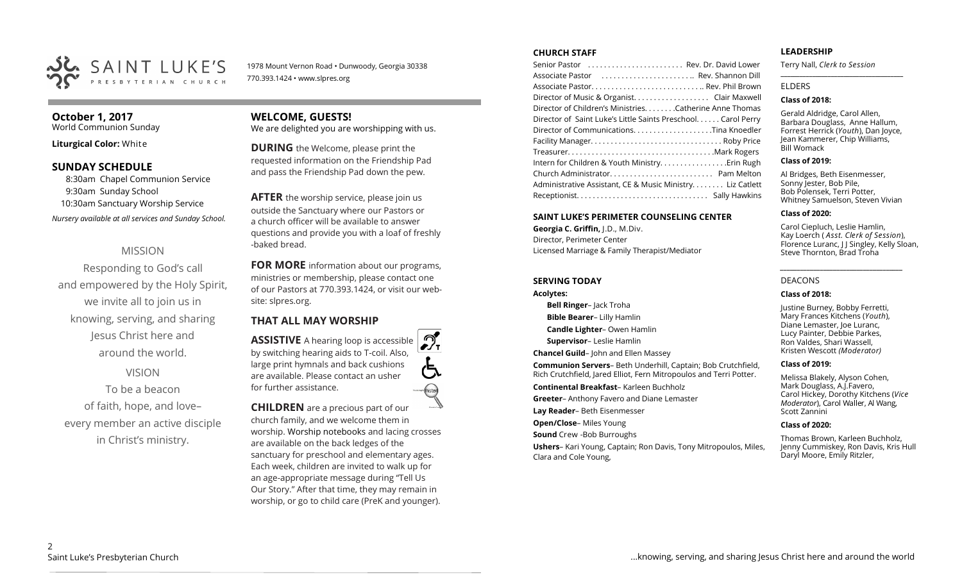

1978 Mount Vernon Road • Dunwoody, Georgia 30338 770.393.1424 • www.slpres.org

#### **October 1, 2017**

World Communion Sunday

**Liturgical Color:** White

#### **SUNDAY SCHEDULE**

8:30am Chapel Communion Service 9:30am Sunday School 10:30am Sanctuary Worship Service *Nursery available at all services and Sunday School.* 

#### MISSION

Responding to God's call and empowered by the Holy Spirit, we invite all to join us in knowing, serving, and sharing Jesus Christ here and around the world.

VISION

To be a beacon of faith, hope, and love– every member an active disciple in Christ's ministry.

# **WELCOME, GUESTS!**

We are delighted you are worshipping with us.

**DURING** the Welcome, please print the requested information on the Friendship Pad and pass the Friendship Pad down the pew.

**AFTER** the worship service, please join us outside the Sanctuary where our Pastors or a church officer will be available to answer questions and provide you with a loaf of freshly -baked bread.

**FOR MORE** information about our programs, ministries or membership, please contact one of our Pastors at 770.393.1424, or visit our website: slpres.org.

#### **THAT ALL MAY WORSHIP**

**ASSISTIVE** A hearing loop is accessible by switching hearing aids to T-coil. Also, large print hymnals and back cushions are available. Please contact an usher for further assistance.

**CHILDREN** are a precious part of our church family, and we welcome them in worship. Worship notebooks and lacing crosses are available on the back ledges of the sanctuary for preschool and elementary ages. Each week, children are invited to walk up for an age-appropriate message during "Tell Us Our Story." After that time, they may remain in worship, or go to child care (PreK and younger).

#### **CHURCH STAFF**

| Director of Music & Organist. Clair Maxwell                   |  |
|---------------------------------------------------------------|--|
| Director of Children's Ministries. Catherine Anne Thomas      |  |
| Director of Saint Luke's Little Saints Preschool. Carol Perry |  |
| Director of CommunicationsTina Knoedler                       |  |
|                                                               |  |
|                                                               |  |
| Intern for Children & Youth Ministry Erin Rugh                |  |
|                                                               |  |
| Administrative Assistant, CE & Music Ministry Liz Catlett     |  |
|                                                               |  |
|                                                               |  |

#### **SAINT LUKE'S PERIMETER COUNSELING CENTER**

**Georgia C. Griffin,** J.D., M.Div. Director, Perimeter Center Licensed Marriage & Family Therapist/Mediator

#### **SERVING TODAY**

#### **Acolytes:**

**Bell Ringer**– Jack Troha

**Bible Bearer**– Lilly Hamlin

**Candle Lighter**– Owen Hamlin

**Supervisor**– Leslie Hamlin

**Chancel Guild**– John and Ellen Massey

**Communion Servers**– Beth Underhill, Captain; Bob Crutchfield, Rich Crutchfield, Jared Elliot, Fern Mitropoulos and Terri Potter.

**Continental Breakfast**– Karleen Buchholz

**Greeter**– Anthony Favero and Diane Lemaster

**Lay Reader**– Beth Eisenmesser

**Open/Close**– Miles Young

**Sound** Crew -Bob Burroughs

**Ushers**– Kari Young, Captain; Ron Davis, Tony Mitropoulos, Miles, Clara and Cole Young,

#### **LEADERSHIP**

Terry Nall, *Clerk to Session*  **\_\_\_\_\_\_\_\_\_\_\_\_\_\_\_\_\_\_\_\_\_\_\_\_\_\_\_\_\_\_\_\_\_\_\_\_\_\_\_**

#### ELDERS

#### **Class of 2018:**

Gerald Aldridge, Carol Allen, Barbara Douglass, Anne Hallum, Forrest Herrick (*Youth*), Dan Joyce, Jean Kammerer, Chip Williams, Bill Womack

#### **Class of 2019:**

Al Bridges, Beth Eisenmesser, Sonny Jester, Bob Pile, Bob Polensek, Terri Potter, Whitney Samuelson, Steven Vivian

#### **Class of 2020:**

Carol Ciepluch, Leslie Hamlin, Kay Loerch ( *Asst. Clerk of Session*), Florence Luranc, J J Singley, Kelly Sloan, Steve Thornton, Brad Troha

*\_\_\_\_\_\_\_\_\_\_\_\_\_\_\_\_\_\_\_\_\_\_\_\_\_\_\_\_\_\_\_\_\_\_\_\_\_*

#### DEACONS

#### **Class of 2018:**

Justine Burney, Bobby Ferretti, Mary Frances Kitchens (*Youth*), Diane Lemaster, Joe Luranc, Lucy Painter, Debbie Parkes, Ron Valdes, Shari Wassell, Kristen Wescott *(Moderator)*

#### **Class of 2019:**

Melissa Blakely, Alyson Cohen, Mark Douglass, A.J.Favero, Carol Hickey, Dorothy Kitchens (*Vice Moderator*), Carol Waller, Al Wang, Scott Zannini

#### **Class of 2020:**

Thomas Brown, Karleen Buchholz, Jenny Cummiskey, Ron Davis, Kris Hull Daryl Moore, Emily Ritzler,

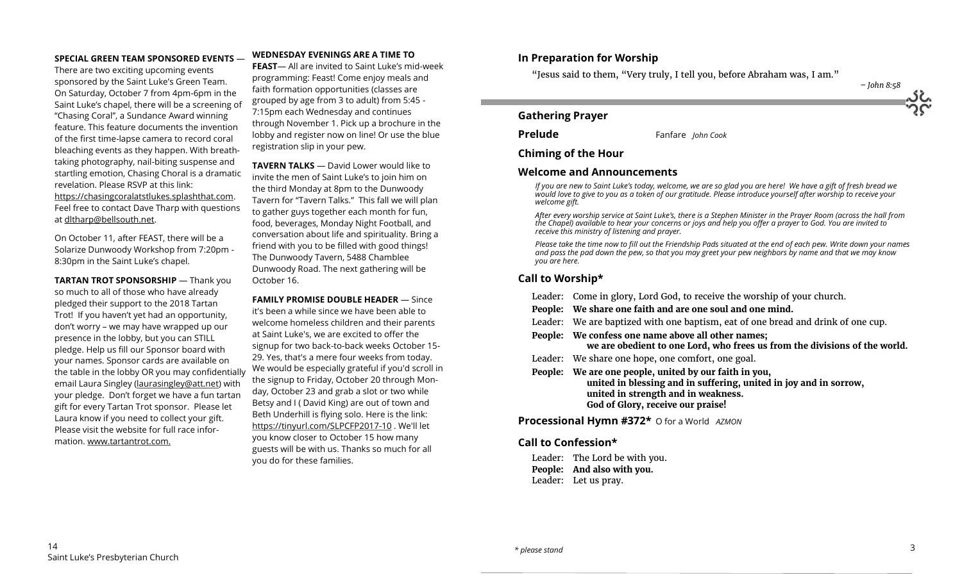#### **SPECIAL GREEN TEAM SPONSORED EVENTS** —

There are two exciting upcoming events sponsored by the Saint Luke's Green Team. On Saturday, October 7 from 4pm-6pm in the Saint Luke's chapel, there will be a screening of "Chasing Coral", a Sundance Award winning feature. This feature documents the invention of the first time-lapse camera to record coral bleaching events as they happen. With breathtaking photography, nail-biting suspense and startling emotion, Chasing Choral is a dramatic revelation. Please RSVP at this link: https://chasingcoralatstlukes.splashthat.com. Feel free to contact Dave Tharp with questions at dltharp@bellsouth.net.

On October 11, after FEAST, there will be a Solarize Dunwoody Workshop from 7:20pm - 8:30pm in the Saint Luke's chapel.

**TARTAN TROT SPONSORSHIP** — Thank you so much to all of those who have already pledged their support to the 2018 Tartan Trot! If you haven't yet had an opportunity, don't worry – we may have wrapped up our presence in the lobby, but you can STILL pledge. Help us fill our Sponsor board with your names. Sponsor cards are available on the table in the lobby OR you may confidentially email Laura Singley [\(laurasingley@att.net\)](mailto:laurasingley@att.net) with your pledge. Don't forget we have a fun tartan gift for every Tartan Trot sponsor. Please let Laura know if you need to collect your gift. Please visit the website for full race information. www.tartantrot.com.

#### **WEDNESDAY EVENINGS ARE A TIME TO**

**FEAST**— All are invited to Saint Luke's mid-week programming: Feast! Come enjoy meals and faith formation opportunities (classes are grouped by age from 3 to adult) from 5:45 - 7:15pm each Wednesday and continues through November 1. Pick up a brochure in the lobby and register now on line! Or use the blue registration slip in your pew.

**TAVERN TALKS** — David Lower would like to invite the men of Saint Luke's to join him on the third Monday at 8pm to the Dunwoody Tavern for "Tavern Talks." This fall we will plan to gather guys together each month for fun, food, beverages, Monday Night Football, and conversation about life and spirituality. Bring a friend with you to be filled with good things! The Dunwoody Tavern, 5488 Chamblee Dunwoody Road. The next gathering will be October 16.

**FAMILY PROMISE DOUBLE HEADER** — Since it's been a while since we have been able to welcome homeless children and their parents at Saint Luke's, we are excited to offer the signup for two back-to-back weeks October 15- 29. Yes, that's a mere four weeks from today. We would be especially grateful if you'd scroll in the signup to Friday, October 20 through Monday, October 23 and grab a slot or two while Betsy and I ( David King) are out of town and Beth Underhill is flying solo. Here is the link: [https://tinyurl.com/SLPCFP2017](https://tinyurl.com/SLPCFP2017-10)-10 . We'll let you know closer to October 15 how many guests will be with us. Thanks so much for all you do for these families.

#### **In Preparation for Worship**

"Jesus said to them, "Very truly, I tell you, before Abraham was, I am."

*– John 8:58*

#### **Gathering Prayer**

**Prelude** Fanfare *John Cook*

#### **Chiming of the Hour**

#### **Welcome and Announcements**

*If you are new to Saint Luke's today, welcome, we are so glad you are here! We have a gift of fresh bread we would love to give to you as a token of our gratitude. Please introduce yourself after worship to receive your welcome gift.*

*After every worship service at Saint Luke's, there is a Stephen Minister in the Prayer Room (across the hall from the Chapel) available to hear your concerns or joys and help you offer a prayer to God. You are invited to receive this ministry of listening and prayer.*

*Please take the time now to fill out the Friendship Pads situated at the end of each pew. Write down your names and pass the pad down the pew, so that you may greet your pew neighbors by name and that we may know you are here.*

#### **Call to Worship\***

Leader: Come in glory, Lord God, to receive the worship of your church. **People: We share one faith and are one soul and one mind.** Leader: We are baptized with one baptism, eat of one bread and drink of one cup. **People: We confess one name above all other names; we are obedient to one Lord, who frees us from the divisions of the world.** Leader: We share one hope, one comfort, one goal. **People: We are one people, united by our faith in you, united in blessing and in suffering, united in joy and in sorrow, united in strength and in weakness. God of Glory, receive our praise!**

**Processional Hymn #372\*** O for a World *AZMON* 

#### **Call to Confession\***

Leader: The Lord be with you. **People: And also with you.** Leader: Let us pray.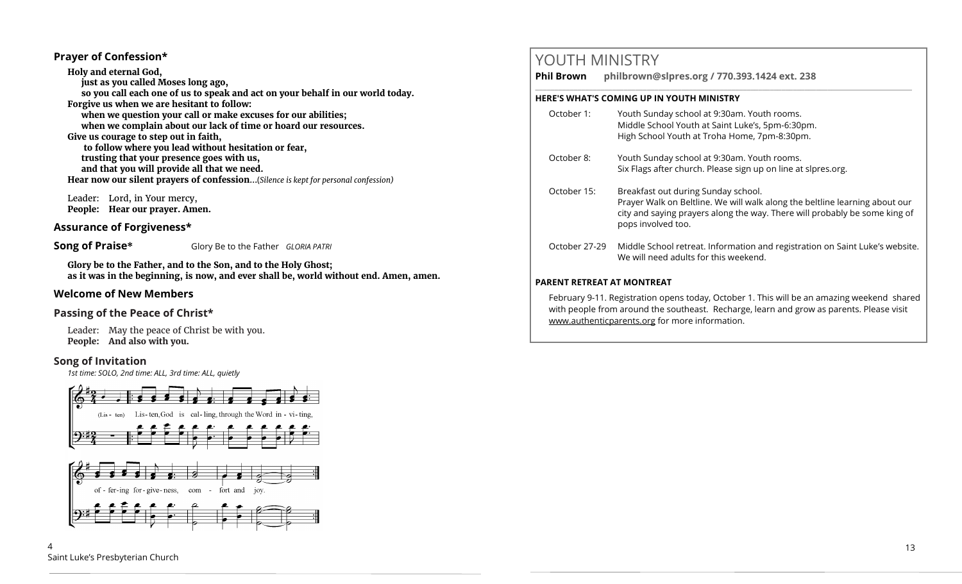#### **Prayer of Confession\***

**Holy and eternal God, just as you called Moses long ago, so you call each one of us to speak and act on your behalf in our world today. Forgive us when we are hesitant to follow: when we question your call or make excuses for our abilities; when we complain about our lack of time or hoard our resources. Give us courage to step out in faith, to follow where you lead without hesitation or fear, trusting that your presence goes with us, and that you will provide all that we need. Hear now our silent prayers of confession**...(*Silence is kept for personal confession)* 

Leader: Lord, in Your mercy, **People: Hear our prayer. Amen.**

#### **Assurance of Forgiveness\***

**Song of Praise\*** Glory Be to the Father *GLORIA PATRI*

**Glory be to the Father, and to the Son, and to the Holy Ghost; as it was in the beginning, is now, and ever shall be, world without end. Amen, amen.**

#### **Welcome of New Members**

#### **Passing of the Peace of Christ\***

Leader: May the peace of Christ be with you. **People: And also with you.**

#### **Song of Invitation**

*1st time: SOLO, 2nd time: ALL, 3rd time: ALL, quietly*





## YOUTH MINISTRY

**Phil Brown philbrown@slpres.org / 770.393.1424 ext. 238** 

#### **HERE'S WHAT'S COMING UP IN YOUTH MINISTRY**

- October 1: Youth Sunday school at 9:30am. Youth rooms. Middle School Youth at Saint Luke's, 5pm-6:30pm. High School Youth at Troha Home, 7pm-8:30pm.
- October 8: Youth Sunday school at 9:30am. Youth rooms. Six Flags after church. Please sign up on line at slpres.org.
- October 15: Breakfast out during Sunday school. Prayer Walk on Beltline. We will walk along the beltline learning about our city and saying prayers along the way. There will probably be some king of pops involved too.

\_\_\_\_\_\_\_\_\_\_\_\_\_\_\_\_\_\_\_\_\_\_\_\_\_\_\_\_\_\_\_\_\_\_\_\_\_\_\_\_\_\_\_\_\_\_\_\_\_\_\_\_\_\_\_\_\_\_\_\_\_\_\_\_\_\_\_\_\_\_\_\_\_\_\_\_\_\_\_\_\_\_\_\_\_\_\_\_\_\_\_\_\_\_\_\_\_\_

October 27-29 Middle School retreat. Information and registration on Saint Luke's website. We will need adults for this weekend.

#### **PARENT RETREAT AT MONTREAT**

February 9-11. Registration opens today, October 1. This will be an amazing weekend shared with people from around the southeast. Recharge, learn and grow as parents. Please visit www.authenticparents.org for more information.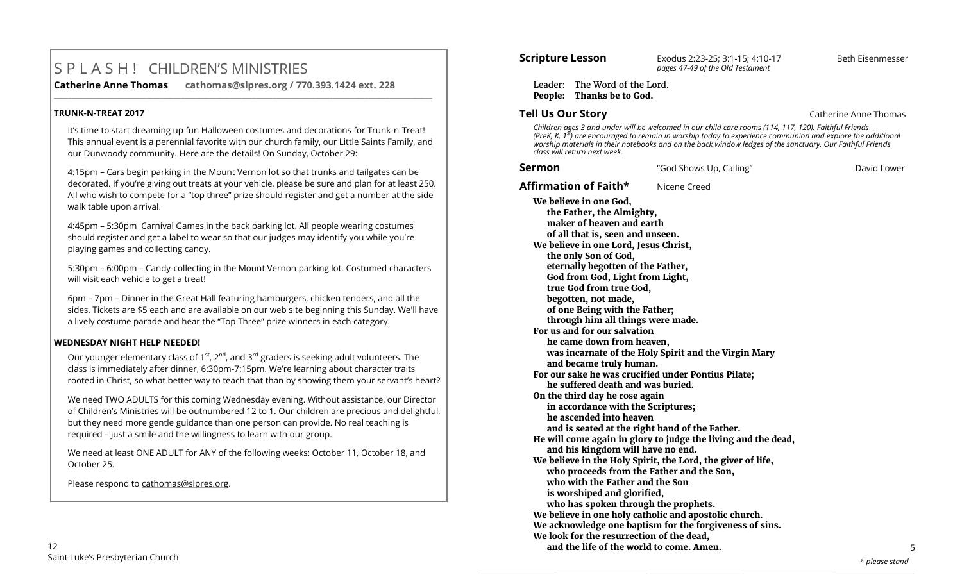# S P L A S H ! CHILDREN'S MINISTRIES

**\_\_\_\_\_\_\_\_\_\_\_\_\_\_\_\_\_\_\_\_\_\_\_\_\_\_\_\_\_\_\_\_\_\_\_\_\_\_\_\_\_\_\_\_\_\_\_\_\_\_\_\_\_\_\_\_\_\_\_\_\_\_\_\_\_\_\_\_\_\_\_\_\_\_\_\_\_\_\_\_\_\_\_\_\_\_\_\_\_\_\_\_\_\_\_\_\_\_\_\_\_\_\_\_\_\_\_** 

**Catherine Anne Thomas cathomas@slpres.org / 770.393.1424 ext. 228** 

#### **TRUNK-N-TREAT 2017**

It's time to start dreaming up fun Halloween costumes and decorations for Trunk-n-Treat! This annual event is a perennial favorite with our church family, our Little Saints Family, and our Dunwoody community. Here are the details! On Sunday, October 29:

4:15pm – Cars begin parking in the Mount Vernon lot so that trunks and tailgates can be decorated. If you're giving out treats at your vehicle, please be sure and plan for at least 250. All who wish to compete for a "top three" prize should register and get a number at the side walk table upon arrival.

4:45pm – 5:30pm Carnival Games in the back parking lot. All people wearing costumes should register and get a label to wear so that our judges may identify you while you're playing games and collecting candy.

5:30pm – 6:00pm – Candy-collecting in the Mount Vernon parking lot. Costumed characters will visit each vehicle to get a treat!

6pm – 7pm – Dinner in the Great Hall featuring hamburgers, chicken tenders, and all the sides. Tickets are \$5 each and are available on our web site beginning this Sunday. We'll have a lively costume parade and hear the "Top Three" prize winners in each category.

#### **WEDNESDAY NIGHT HELP NEEDED!**

Our younger elementary class of  $1^{st}$ ,  $2^{nd}$ , and  $3^{rd}$  graders is seeking adult volunteers. The class is immediately after dinner, 6:30pm-7:15pm. We're learning about character traits rooted in Christ, so what better way to teach that than by showing them your servant's heart?

We need TWO ADULTS for this coming Wednesday evening. Without assistance, our Director of Children's Ministries will be outnumbered 12 to 1. Our children are precious and delightful, but they need more gentle guidance than one person can provide. No real teaching is required – just a smile and the willingness to learn with our group.

We need at least ONE ADULT for ANY of the following weeks: October 11, October 18, and October 25.

Please respond to [cathomas@slpres.org.](mailto:cathomas@slpres.org)

### **Scripture Lesson** Exodus 2:23-25; 3:1-15; 4:10-17 Beth Eisenmesser *pages 47-49 of the Old Testament*

Leader: The Word of the Lord. **People: Thanks be to God.**

#### **Tell Us Our Story Catherine Anne Thomas**

*Children ages 3 and under will be welcomed in our child care rooms (114, 117, 120). Faithful Friends (PreK, K, 1st) are encouraged to remain in worship today to experience communion and explore the additional worship materials in their notebooks and on the back window ledges of the sanctuary. Our Faithful Friends class will return next week.*

| Sermon                                                                                                                                                                                   | "God Shows Up, Calling"                                                                                                      | David Lower |
|------------------------------------------------------------------------------------------------------------------------------------------------------------------------------------------|------------------------------------------------------------------------------------------------------------------------------|-------------|
| Affirmation of Faith*                                                                                                                                                                    | Nicene Creed                                                                                                                 |             |
| We believe in one God,<br>the Father, the Almighty,<br>maker of heaven and earth<br>of all that is, seen and unseen.<br>We believe in one Lord, Jesus Christ,                            |                                                                                                                              |             |
| the only Son of God,<br>eternally begotten of the Father,<br>God from God, Light from Light,<br>true God from true God,<br>begotten, not made,<br>of one Being with the Father;          |                                                                                                                              |             |
| through him all things were made.<br>For us and for our salvation<br>he came down from heaven,<br>and became truly human.                                                                | was incarnate of the Holy Spirit and the Virgin Mary                                                                         |             |
| he suffered death and was buried.<br>On the third day he rose again<br>in accordance with the Scriptures;<br>he ascended into heaven                                                     | For our sake he was crucified under Pontius Pilate;<br>and is seated at the right hand of the Father.                        |             |
| and his kingdom will have no end.<br>who proceeds from the Father and the Son,<br>who with the Father and the Son<br>is worshiped and glorified,<br>who has spoken through the prophets. | He will come again in glory to judge the living and the dead,<br>We believe in the Holy Spirit, the Lord, the giver of life, |             |
| We look for the resurrection of the dead,<br>and the life of the world to come. Amen.                                                                                                    | We believe in one holy catholic and apostolic church.<br>We acknowledge one baptism for the forgiveness of sins.             | 5           |
|                                                                                                                                                                                          |                                                                                                                              |             |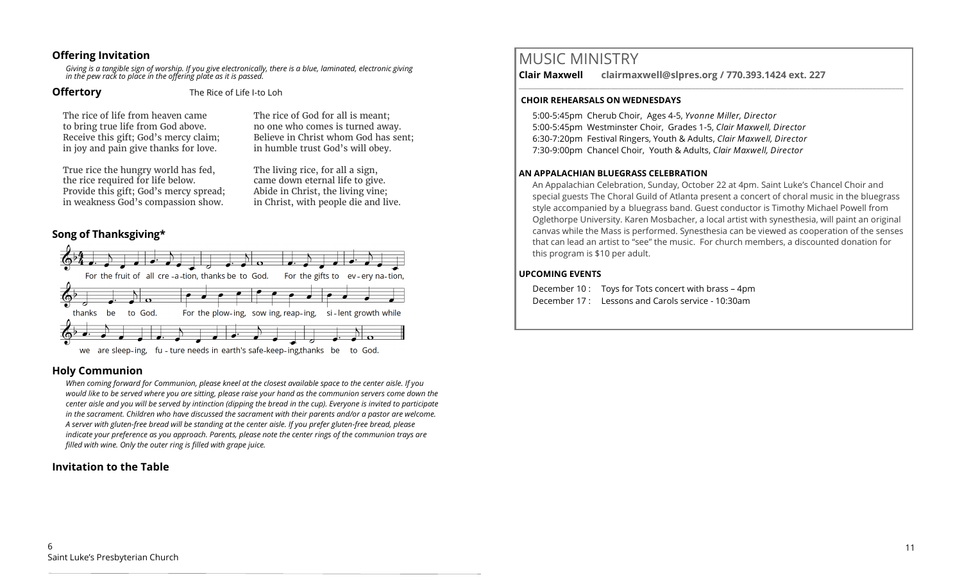#### **Offering Invitation**

*Giving is a tangible sign of worship. If you give electronically, there is a blue, laminated, electronic giving in the pew rack to place in the offering plate as it is passed.*

**Offertory** The Rice of Life I-to Loh

The rice of life from heaven came to bring true life from God above. Receive this gift; God's mercy claim; in joy and pain give thanks for love.

True rice the hungry world has fed, the rice required for life below. Provide this gift; God's mercy spread; in weakness God's compassion show.

The rice of God for all is meant; no one who comes is turned away. Believe in Christ whom God has sent; in humble trust God's will obey.

The living rice, for all a sign, came down eternal life to give. Abide in Christ, the living vine; in Christ, with people die and live.

#### **Song of Thanksgiving\***



#### **Holy Communion**

*When coming forward for Communion, please kneel at the closest available space to the center aisle. If you would like to be served where you are sitting, please raise your hand as the communion servers come down the center aisle and you will be served by intinction (dipping the bread in the cup). Everyone is invited to participate in the sacrament. Children who have discussed the sacrament with their parents and/or a pastor are welcome. A server with gluten-free bread will be standing at the center aisle. If you prefer gluten-free bread, please indicate your preference as you approach. Parents, please note the center rings of the communion trays are filled with wine. Only the outer ring is filled with grape juice.*

#### **Invitation to the Table**

MUSIC MINISTRY

**Clair Maxwell clairmaxwell@slpres.org / 770.393.1424 ext. 227** 

#### **CHOIR REHEARSALS ON WEDNESDAYS**

5:00-5:45pm Cherub Choir, Ages 4-5, *Yvonne Miller, Director*  5:00-5:45pm Westminster Choir, Grades 1-5, *Clair Maxwell, Director*  6:30-7:20pm Festival Ringers, Youth & Adults, *Clair Maxwell, Director*  7:30-9:00pm Chancel Choir, Youth & Adults, *Clair Maxwell, Director* 

#### **AN APPALACHIAN BLUEGRASS CELEBRATION**

An Appalachian Celebration, Sunday, October 22 at 4pm. Saint Luke's Chancel Choir and special guests The Choral Guild of Atlanta present a concert of choral music in the bluegrass style accompanied by a bluegrass band. Guest conductor is Timothy Michael Powell from Oglethorpe University. Karen Mosbacher, a local artist with synesthesia, will paint an original canvas while the Mass is performed. Synesthesia can be viewed as cooperation of the senses that can lead an artist to "see" the music. For church members, a discounted donation for this program is \$10 per adult.

\_\_\_\_\_\_\_\_\_\_\_\_\_\_\_\_\_\_\_\_\_\_\_\_\_\_\_\_\_\_\_\_\_\_\_\_\_\_\_\_\_\_\_\_\_\_\_\_\_\_\_\_\_\_\_\_\_\_\_\_\_\_\_\_\_\_\_\_\_\_\_\_\_\_\_\_\_\_\_\_\_\_\_\_\_\_\_\_\_\_\_\_\_\_\_\_\_\_\_\_

#### **UPCOMING EVENTS**

December 10 : Toys for Tots concert with brass – 4pm December 17 : Lessons and Carols service - 10:30am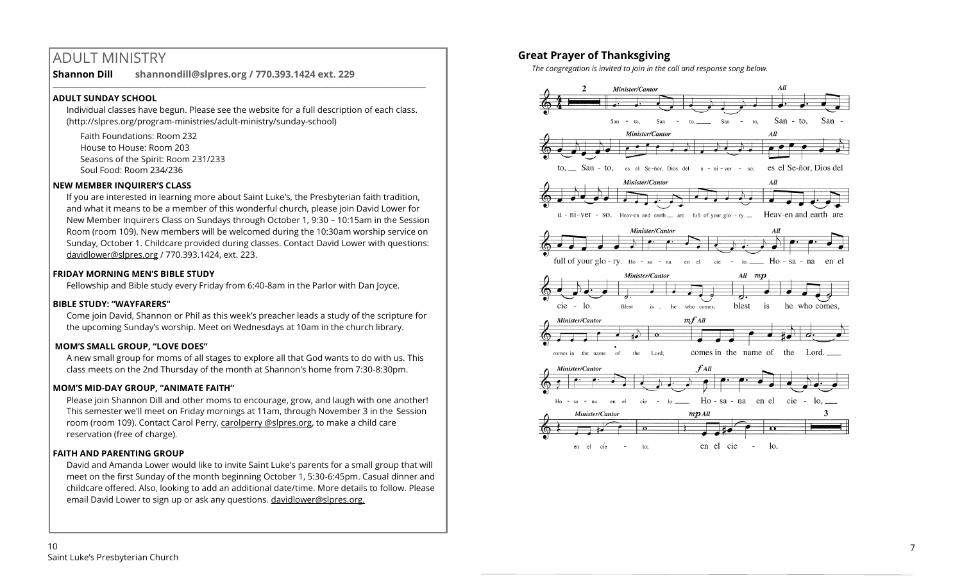# ADULT MINISTRY

**Shannon Dill shannondill@slpres.org / 770.393.1424 ext. 229**   $\_$  ,  $\_$  ,  $\_$  ,  $\_$  ,  $\_$  ,  $\_$  ,  $\_$  ,  $\_$  ,  $\_$  ,  $\_$  ,  $\_$  ,  $\_$  ,  $\_$  ,  $\_$  ,  $\_$  ,  $\_$  ,  $\_$  ,  $\_$  ,  $\_$  ,  $\_$ 

#### **ADULT SUNDAY SCHOOL**

Individual classes have begun. Please see the website for a full description of each class. (http://slpres.org/program-ministries/adult-ministry/sunday-school)

Faith Foundations: Room 232 House to House: Room 203 Seasons of the Spirit: Room 231/233 Soul Food: Room 234/236

#### **NEW MEMBER INQUIRER'S CLASS**

If you are interested in learning more about Saint Luke's, the Presbyterian faith tradition, and what it means to be a member of this wonderful church, please join David Lower for New Member Inquirers Class on Sundays through October 1, 9:30 – 10:15am in the Session Room (room 109). New members will be welcomed during the 10:30am worship service on Sunday, October 1. Childcare provided during classes. Contact David Lower with questions: [davidlower@slpres.org](mailto:davidlower@slpres.org) / 770.393.1424, ext. 223.

#### **FRIDAY MORNING MEN'S BIBLE STUDY**

Fellowship and Bible study every Friday from 6:40-8am in the Parlor with Dan Joyce.

#### **BIBLE STUDY: "WAYFARERS"**

Come join David, Shannon or Phil as this week's preacher leads a study of the scripture for the upcoming Sunday's worship. Meet on Wednesdays at 10am in the church library.

### **MOM'S SMALL GROUP, "LOVE DOES"**

A new small group for moms of all stages to explore all that God wants to do with us. This class meets on the 2nd Thursday of the month at Shannon's home from 7:30-8:30pm.

#### **MOM'S MID-DAY GROUP, "ANIMATE FAITH"**

Please join Shannon Dill and other moms to encourage, grow, and laugh with one another! This semester we'll meet on Friday mornings at 11am, through November 3 in the Session room (room 109). Contact Carol Perry, carolperry @slpres.org, to make a child care reservation (free of charge).

#### **FAITH AND PARENTING GROUP**

David and Amanda Lower would like to invite Saint Luke's parents for a small group that will meet on the first Sunday of the month beginning October 1, 5:30-6:45pm. Casual dinner and childcare offered. Also, looking to add an additional date/time. More details to follow. Please email David Lower to sign up or ask any questions. davidlower@slpres.org.

### **Great Prayer of Thanksgiving**

*The congregation is invited to join in the call and response song below.*